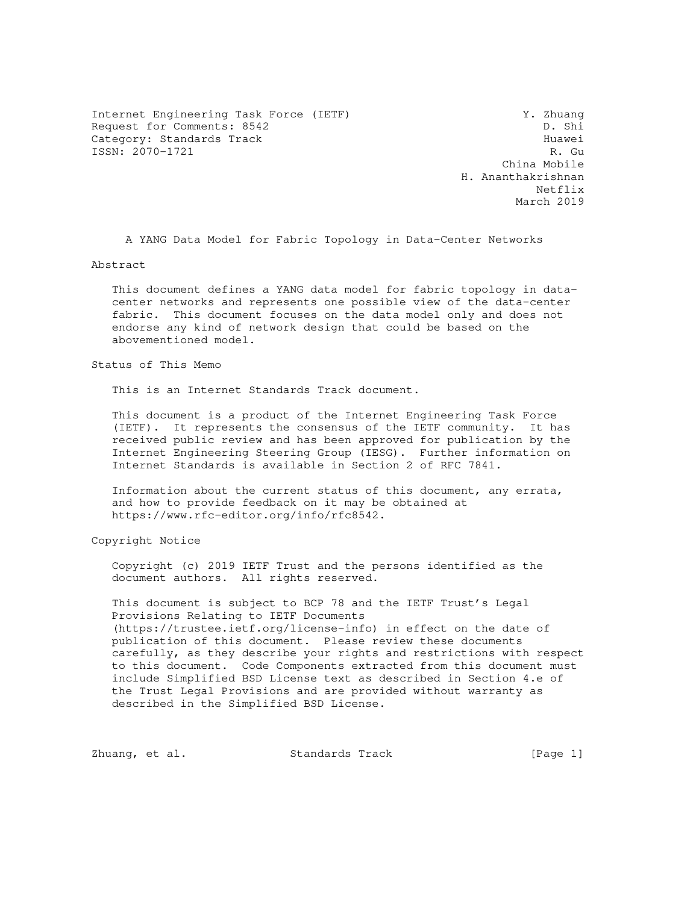Internet Engineering Task Force (IETF) 3. Thuang<br>Request for Comments: 8542 D. Shi Request for Comments: 8542 Category: Standards Track<br>
ISSN: 2070-1721<br>
R. Gu ISSN: 2070-1721

 China Mobile H. Ananthakrishnan Netflix and the set of the set of the set of the set of the set of the set of the set of the set of the set of the set of the set of the set of the set of the set of the set of the set of the set of the set of the set of t March 2019

A YANG Data Model for Fabric Topology in Data-Center Networks

Abstract

 This document defines a YANG data model for fabric topology in data center networks and represents one possible view of the data-center fabric. This document focuses on the data model only and does not endorse any kind of network design that could be based on the abovementioned model.

Status of This Memo

This is an Internet Standards Track document.

 This document is a product of the Internet Engineering Task Force (IETF). It represents the consensus of the IETF community. It has received public review and has been approved for publication by the Internet Engineering Steering Group (IESG). Further information on Internet Standards is available in Section 2 of RFC 7841.

 Information about the current status of this document, any errata, and how to provide feedback on it may be obtained at https://www.rfc-editor.org/info/rfc8542.

Copyright Notice

 Copyright (c) 2019 IETF Trust and the persons identified as the document authors. All rights reserved.

 This document is subject to BCP 78 and the IETF Trust's Legal Provisions Relating to IETF Documents (https://trustee.ietf.org/license-info) in effect on the date of publication of this document. Please review these documents carefully, as they describe your rights and restrictions with respect to this document. Code Components extracted from this document must include Simplified BSD License text as described in Section 4.e of the Trust Legal Provisions and are provided without warranty as described in the Simplified BSD License.

Zhuang, et al. Standards Track [Page 1]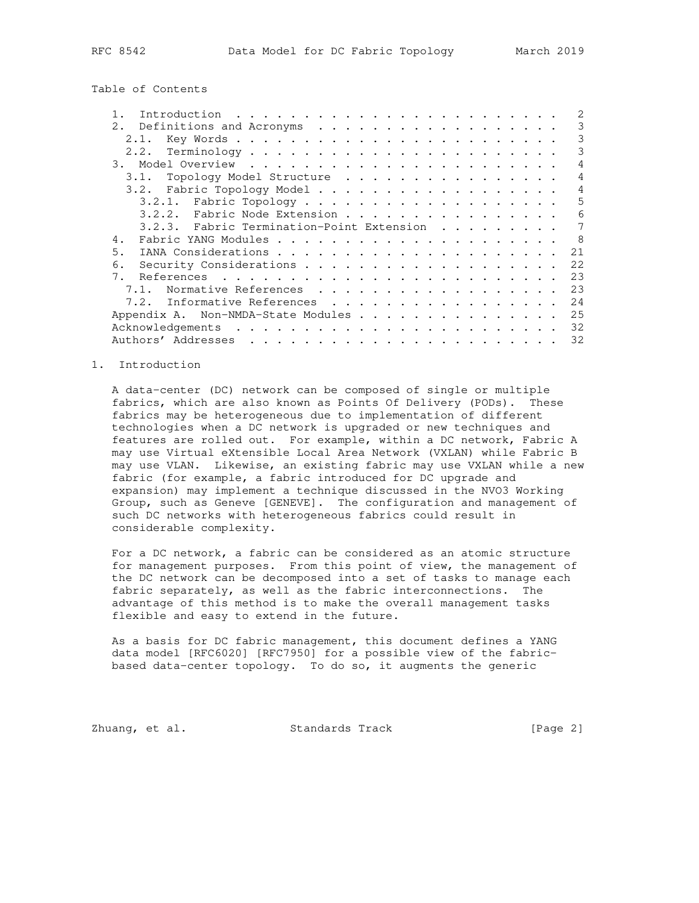Table of Contents

| 2.<br>Definitions and Acronyms            | 3   |
|-------------------------------------------|-----|
| 2.1.                                      | 3   |
| 2.2.                                      | 3   |
| 3.                                        | 4   |
| Topology Model Structure<br>3.1.          | 4   |
| 3.2.<br>Fabric Topology Model             | 4   |
|                                           | 5   |
| 3.2.2.<br>Fabric Node Extension           | 6   |
| 3.2.3. Fabric Termination-Point Extension | 7   |
| 4.                                        | - 8 |
| 5.                                        | 21  |
| 6.                                        | 22  |
|                                           | 23  |
| Normative References                      | 23  |
| Informative References<br>7.2.            | 24  |
| Appendix A. Non-NMDA-State Modules        | 25  |
|                                           | 32  |
|                                           | 32  |

### 1. Introduction

 A data-center (DC) network can be composed of single or multiple fabrics, which are also known as Points Of Delivery (PODs). These fabrics may be heterogeneous due to implementation of different technologies when a DC network is upgraded or new techniques and features are rolled out. For example, within a DC network, Fabric A may use Virtual eXtensible Local Area Network (VXLAN) while Fabric B may use VLAN. Likewise, an existing fabric may use VXLAN while a new fabric (for example, a fabric introduced for DC upgrade and expansion) may implement a technique discussed in the NVO3 Working Group, such as Geneve [GENEVE]. The configuration and management of such DC networks with heterogeneous fabrics could result in considerable complexity.

 For a DC network, a fabric can be considered as an atomic structure for management purposes. From this point of view, the management of the DC network can be decomposed into a set of tasks to manage each fabric separately, as well as the fabric interconnections. The advantage of this method is to make the overall management tasks flexible and easy to extend in the future.

 As a basis for DC fabric management, this document defines a YANG data model [RFC6020] [RFC7950] for a possible view of the fabric based data-center topology. To do so, it augments the generic

Zhuang, et al. Standards Track [Page 2]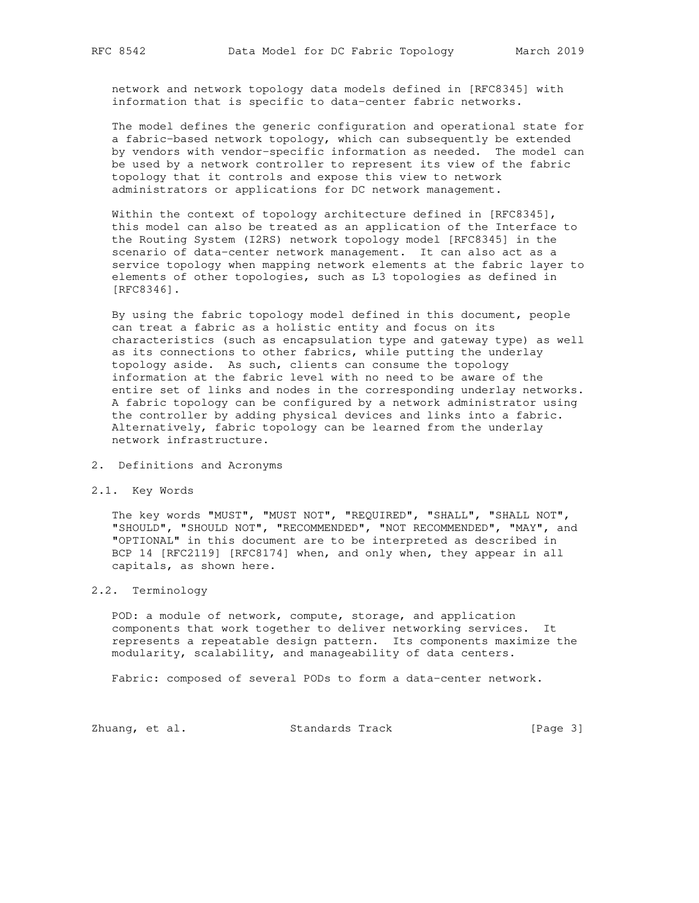network and network topology data models defined in [RFC8345] with information that is specific to data-center fabric networks.

 The model defines the generic configuration and operational state for a fabric-based network topology, which can subsequently be extended by vendors with vendor-specific information as needed. The model can be used by a network controller to represent its view of the fabric topology that it controls and expose this view to network administrators or applications for DC network management.

 Within the context of topology architecture defined in [RFC8345], this model can also be treated as an application of the Interface to the Routing System (I2RS) network topology model [RFC8345] in the scenario of data-center network management. It can also act as a service topology when mapping network elements at the fabric layer to elements of other topologies, such as L3 topologies as defined in [RFC8346].

 By using the fabric topology model defined in this document, people can treat a fabric as a holistic entity and focus on its characteristics (such as encapsulation type and gateway type) as well as its connections to other fabrics, while putting the underlay topology aside. As such, clients can consume the topology information at the fabric level with no need to be aware of the entire set of links and nodes in the corresponding underlay networks. A fabric topology can be configured by a network administrator using the controller by adding physical devices and links into a fabric. Alternatively, fabric topology can be learned from the underlay network infrastructure.

- 2. Definitions and Acronyms
- 2.1. Key Words

 The key words "MUST", "MUST NOT", "REQUIRED", "SHALL", "SHALL NOT", "SHOULD", "SHOULD NOT", "RECOMMENDED", "NOT RECOMMENDED", "MAY", and "OPTIONAL" in this document are to be interpreted as described in BCP 14 [RFC2119] [RFC8174] when, and only when, they appear in all capitals, as shown here.

# 2.2. Terminology

 POD: a module of network, compute, storage, and application components that work together to deliver networking services. It represents a repeatable design pattern. Its components maximize the modularity, scalability, and manageability of data centers.

Fabric: composed of several PODs to form a data-center network.

Zhuang, et al. Standards Track [Page 3]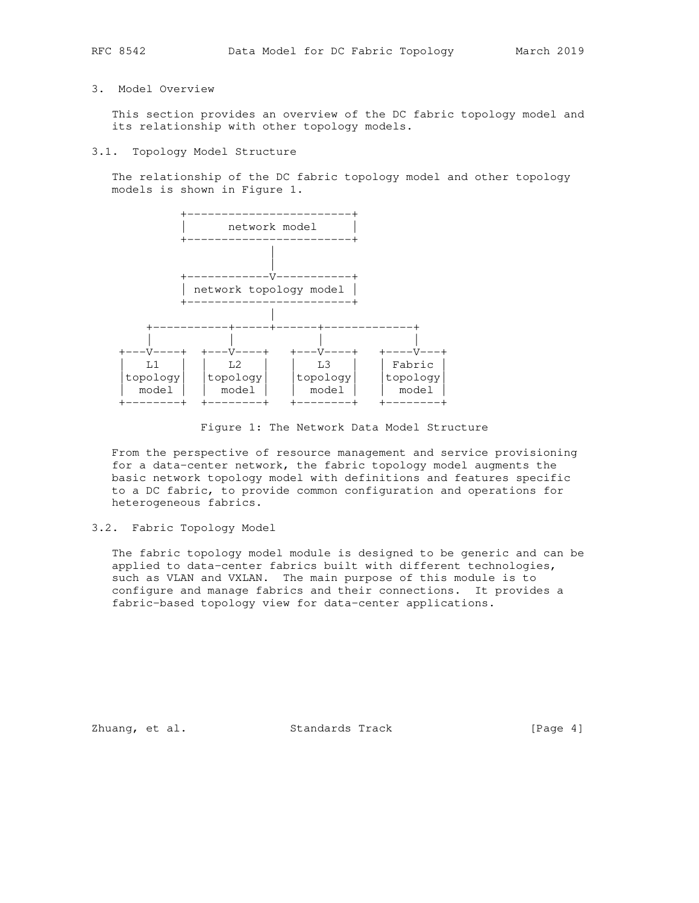# 3. Model Overview

 This section provides an overview of the DC fabric topology model and its relationship with other topology models.

### 3.1. Topology Model Structure

 The relationship of the DC fabric topology model and other topology models is shown in Figure 1.



Figure 1: The Network Data Model Structure

 From the perspective of resource management and service provisioning for a data-center network, the fabric topology model augments the basic network topology model with definitions and features specific to a DC fabric, to provide common configuration and operations for heterogeneous fabrics.

# 3.2. Fabric Topology Model

 The fabric topology model module is designed to be generic and can be applied to data-center fabrics built with different technologies, such as VLAN and VXLAN. The main purpose of this module is to configure and manage fabrics and their connections. It provides a fabric-based topology view for data-center applications.

Zhuang, et al. Standards Track [Page 4]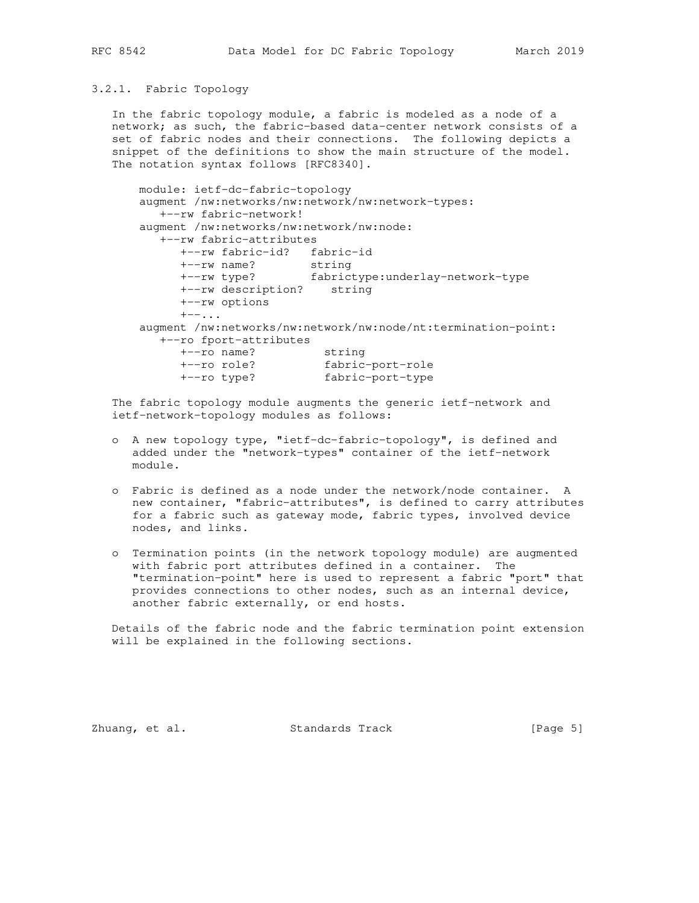### 3.2.1. Fabric Topology

 In the fabric topology module, a fabric is modeled as a node of a network; as such, the fabric-based data-center network consists of a set of fabric nodes and their connections. The following depicts a snippet of the definitions to show the main structure of the model. The notation syntax follows [RFC8340].

```
 module: ietf-dc-fabric-topology
      augment /nw:networks/nw:network/nw:network-types:
        +--rw fabric-network!
      augment /nw:networks/nw:network/nw:node:
        +--rw fabric-attributes
 +--rw fabric-id? fabric-id
 +--rw name? string
 +--rw type? fabrictype:underlay-network-type
           +--rw description? string
           +--rw options
          +--\ldots augment /nw:networks/nw:network/nw:node/nt:termination-point:
         +--ro fport-attributes
 +--ro name? string
 +--ro role? fabric-port-role
 +--ro type? fabric-port-type
```
 The fabric topology module augments the generic ietf-network and ietf-network-topology modules as follows:

- o A new topology type, "ietf-dc-fabric-topology", is defined and added under the "network-types" container of the ietf-network module.
- o Fabric is defined as a node under the network/node container. A new container, "fabric-attributes", is defined to carry attributes for a fabric such as gateway mode, fabric types, involved device nodes, and links.
- o Termination points (in the network topology module) are augmented with fabric port attributes defined in a container. The "termination-point" here is used to represent a fabric "port" that provides connections to other nodes, such as an internal device, another fabric externally, or end hosts.

 Details of the fabric node and the fabric termination point extension will be explained in the following sections.

Zhuang, et al. Standards Track [Page 5]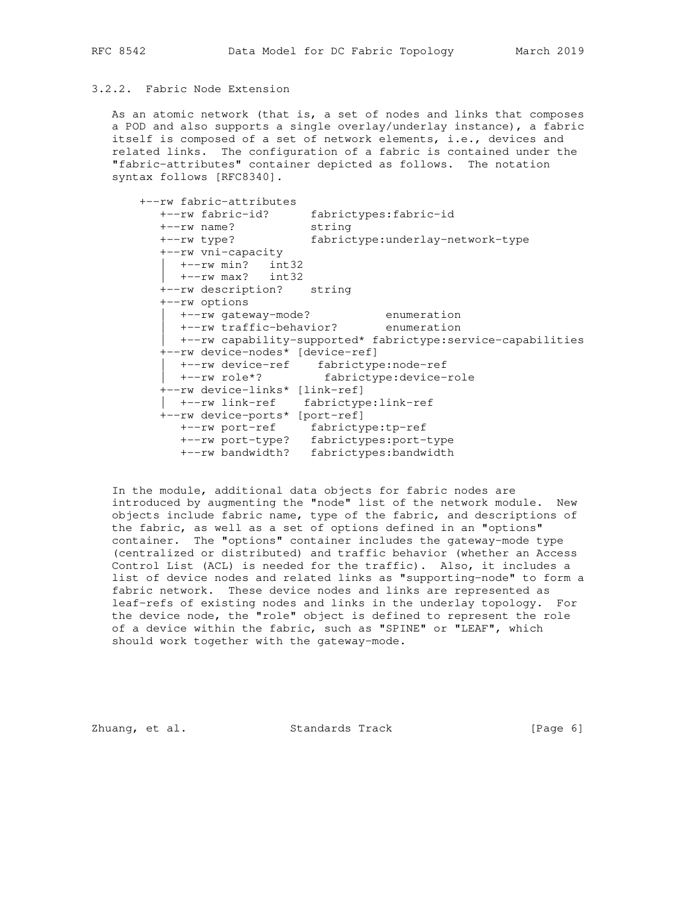## 3.2.2. Fabric Node Extension

 As an atomic network (that is, a set of nodes and links that composes a POD and also supports a single overlay/underlay instance), a fabric itself is composed of a set of network elements, i.e., devices and related links. The configuration of a fabric is contained under the "fabric-attributes" container depicted as follows. The notation syntax follows [RFC8340].

| +--rw fabric-attributes            |                                                             |
|------------------------------------|-------------------------------------------------------------|
|                                    | +--rw fabric-id? fabrictypes:fabric-id                      |
| string<br>$+--rw$ name?            |                                                             |
|                                    | +--rw type? fabrictype:underlay-network-type                |
| +--rw vni-capacity                 |                                                             |
| +--rw min? int32                   |                                                             |
| $+--rw$ max? int32                 |                                                             |
| +--rw description? string          |                                                             |
| +--rw options                      |                                                             |
|                                    |                                                             |
|                                    | +--rw gateway-mode? enumeration                             |
|                                    | +--rw traffic-behavior? enumeration                         |
|                                    | +--rw capability-supported* fabrictype:service-capabilities |
| +--rw device-nodes* [device-ref]   |                                                             |
|                                    | +--rw device-ref fabrictype:node-ref                        |
|                                    | +--rw role*? fabrictype:device-role                         |
| +--rw device-links* [link-ref]     |                                                             |
| +--rw link-ref fabrictype:link-ref |                                                             |
| +--rw device-ports* [port-ref]     |                                                             |
| +--rw port-ref fabrictype:tp-ref   |                                                             |
|                                    | +--rw port-type? fabrictypes:port-type                      |
| +--rw bandwidth?                   | fabrictypes: bandwidth                                      |

 In the module, additional data objects for fabric nodes are introduced by augmenting the "node" list of the network module. New objects include fabric name, type of the fabric, and descriptions of the fabric, as well as a set of options defined in an "options" container. The "options" container includes the gateway-mode type (centralized or distributed) and traffic behavior (whether an Access Control List (ACL) is needed for the traffic). Also, it includes a list of device nodes and related links as "supporting-node" to form a fabric network. These device nodes and links are represented as leaf-refs of existing nodes and links in the underlay topology. For the device node, the "role" object is defined to represent the role of a device within the fabric, such as "SPINE" or "LEAF", which should work together with the gateway-mode.

Zhuang, et al. Standards Track [Page 6]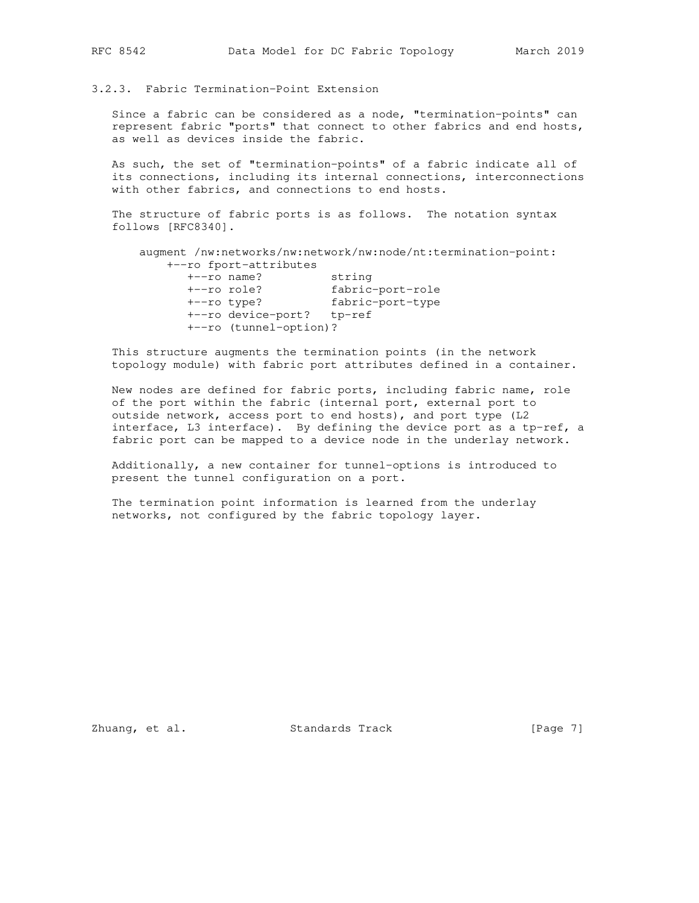# 3.2.3. Fabric Termination-Point Extension

 Since a fabric can be considered as a node, "termination-points" can represent fabric "ports" that connect to other fabrics and end hosts, as well as devices inside the fabric.

 As such, the set of "termination-points" of a fabric indicate all of its connections, including its internal connections, interconnections with other fabrics, and connections to end hosts.

 The structure of fabric ports is as follows. The notation syntax follows [RFC8340].

```
 augment /nw:networks/nw:network/nw:node/nt:termination-point:
     +--ro fport-attributes
```

| $+--ro$ name?             | string           |
|---------------------------|------------------|
| $+--ro$ role?             | fabric-port-role |
| $+--ro$ type?             | fabric-port-type |
| +--ro device-port? tp-ref |                  |
| +--ro (tunnel-option)?    |                  |
|                           |                  |

 This structure augments the termination points (in the network topology module) with fabric port attributes defined in a container.

 New nodes are defined for fabric ports, including fabric name, role of the port within the fabric (internal port, external port to outside network, access port to end hosts), and port type (L2 interface, L3 interface). By defining the device port as a tp-ref, a fabric port can be mapped to a device node in the underlay network.

 Additionally, a new container for tunnel-options is introduced to present the tunnel configuration on a port.

 The termination point information is learned from the underlay networks, not configured by the fabric topology layer.

Zhuang, et al. Standards Track [Page 7]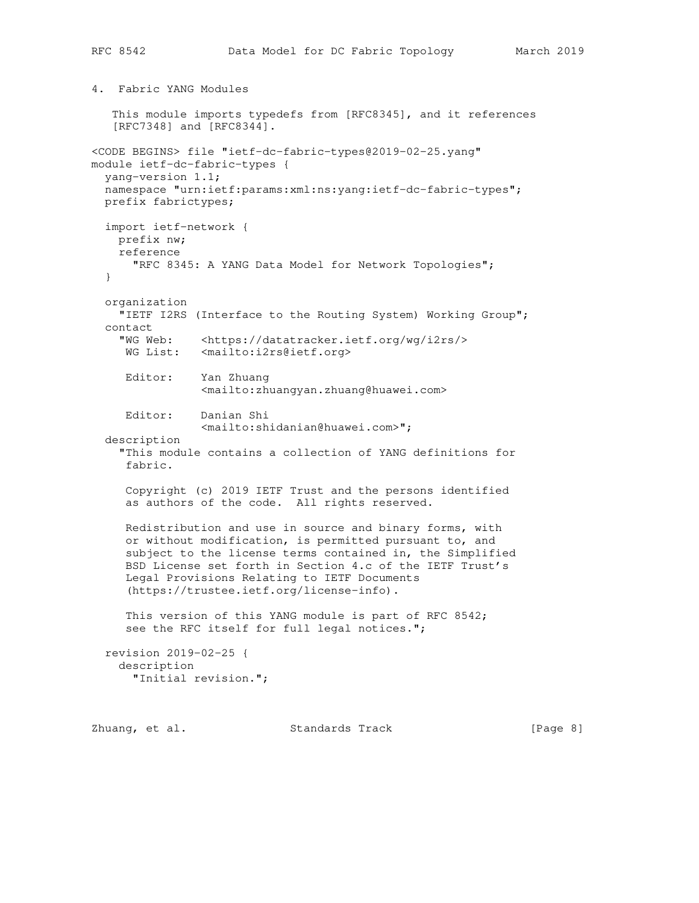4. Fabric YANG Modules

 This module imports typedefs from [RFC8345], and it references [RFC7348] and [RFC8344]. <CODE BEGINS> file "ietf-dc-fabric-types@2019-02-25.yang" module ietf-dc-fabric-types { yang-version 1.1; namespace "urn:ietf:params:xml:ns:yang:ietf-dc-fabric-types"; prefix fabrictypes; import ietf-network { prefix nw; reference "RFC 8345: A YANG Data Model for Network Topologies"; } organization "IETF I2RS (Interface to the Routing System) Working Group"; contact "WG Web: <https://datatracker.ietf.org/wg/i2rs/> WG List: <mailto:i2rs@ietf.org> Editor: Yan Zhuang <mailto:zhuangyan.zhuang@huawei.com> Editor: Danian Shi <mailto:shidanian@huawei.com>"; description "This module contains a collection of YANG definitions for fabric. Copyright (c) 2019 IETF Trust and the persons identified as authors of the code. All rights reserved. Redistribution and use in source and binary forms, with or without modification, is permitted pursuant to, and subject to the license terms contained in, the Simplified BSD License set forth in Section 4.c of the IETF Trust's Legal Provisions Relating to IETF Documents (https://trustee.ietf.org/license-info). This version of this YANG module is part of RFC 8542; see the RFC itself for full legal notices."; revision 2019-02-25 { description "Initial revision.";

Zhuang, et al. Standards Track [Page 8]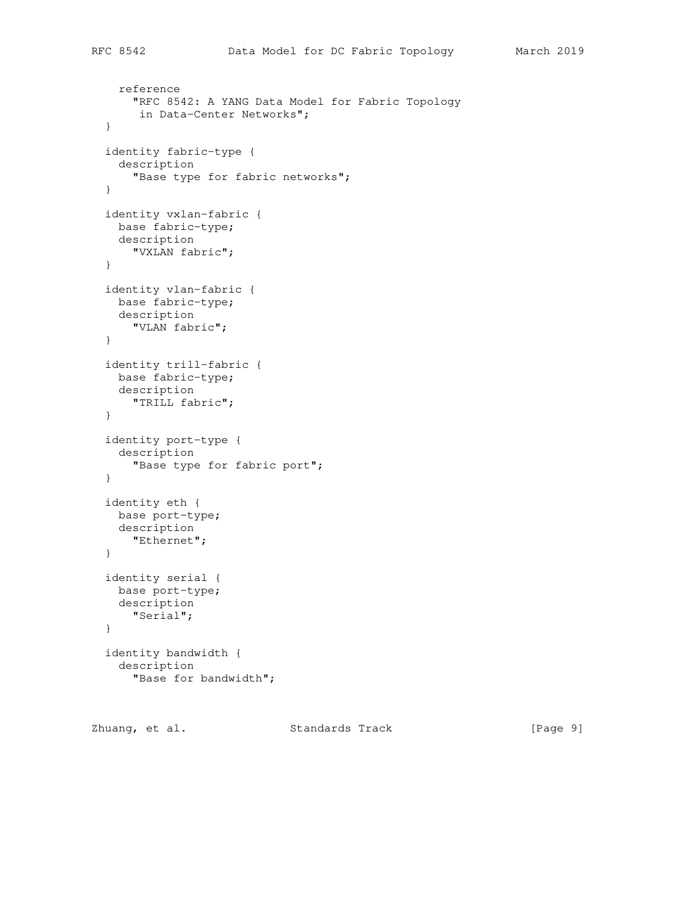```
 reference
    "RFC 8542: A YANG Data Model for Fabric Topology
     in Data-Center Networks";
 }
 identity fabric-type {
  description
    "Base type for fabric networks";
 }
 identity vxlan-fabric {
 base fabric-type;
  description
    "VXLAN fabric";
 }
 identity vlan-fabric {
  base fabric-type;
  description
    "VLAN fabric";
 }
 identity trill-fabric {
  base fabric-type;
  description
    "TRILL fabric";
 }
 identity port-type {
  description
     "Base type for fabric port";
 }
 identity eth {
  base port-type;
  description
    "Ethernet";
 }
 identity serial {
  base port-type;
  description
    "Serial";
```

```
 }
 identity bandwidth {
  description
     "Base for bandwidth";
```
Zhuang, et al. Standards Track [Page 9]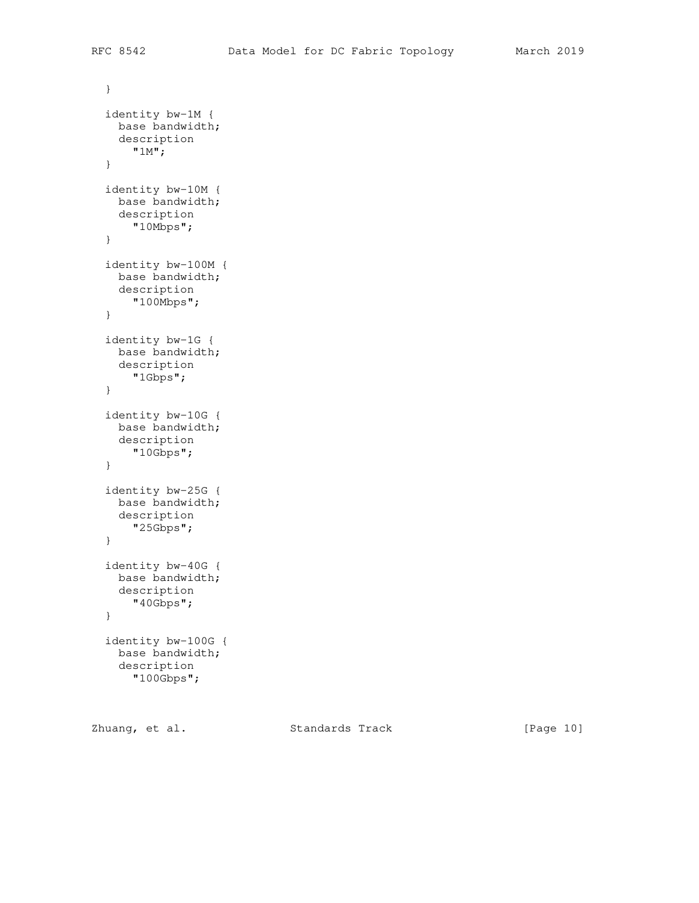```
 }
 identity bw-1M {
  base bandwidth;
  description
     "1M";
 }
 identity bw-10M {
 base bandwidth;
  description
    "10Mbps";
 }
 identity bw-100M {
  base bandwidth;
  description
    "100Mbps";
 }
 identity bw-1G {
  base bandwidth;
  description
     "1Gbps";
 }
 identity bw-10G {
  base bandwidth;
  description
     "10Gbps";
 }
 identity bw-25G {
 base bandwidth;
  description
    "25Gbps";
 }
 identity bw-40G {
  base bandwidth;
  description
    "40Gbps";
 }
 identity bw-100G {
  base bandwidth;
  description
     "100Gbps";
```
Zhuang, et al. Standards Track [Page 10]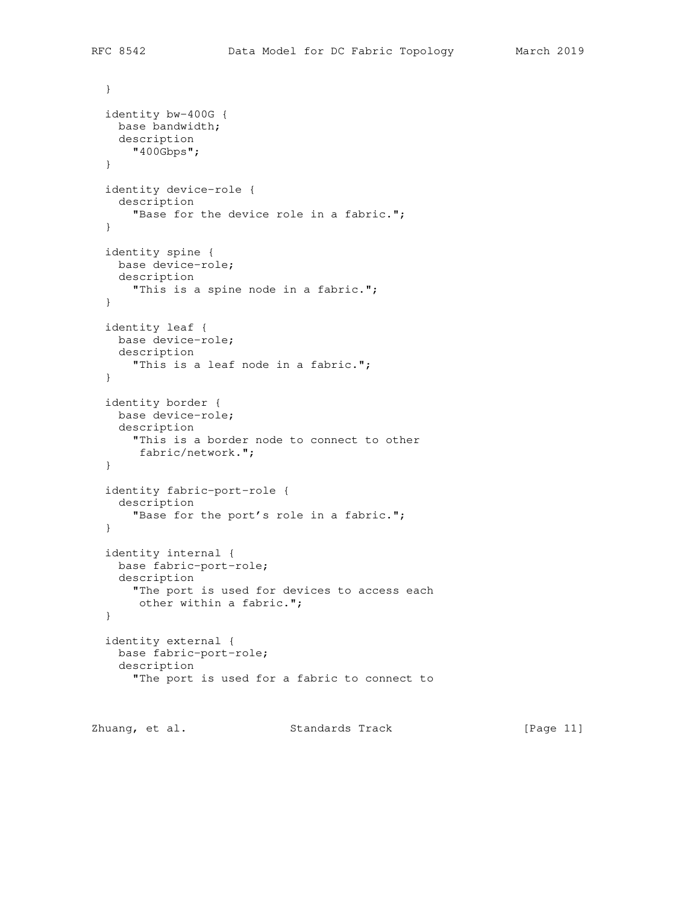```
 }
 identity bw-400G {
  base bandwidth;
  description
     "400Gbps";
 }
 identity device-role {
  description
    "Base for the device role in a fabric.";
 }
 identity spine {
  base device-role;
  description
    "This is a spine node in a fabric.";
 }
 identity leaf {
  base device-role;
  description
     "This is a leaf node in a fabric.";
 }
 identity border {
  base device-role;
  description
     "This is a border node to connect to other
     fabric/network.";
 }
 identity fabric-port-role {
  description
     "Base for the port's role in a fabric.";
 }
 identity internal {
  base fabric-port-role;
  description
    "The port is used for devices to access each
     other within a fabric.";
 }
 identity external {
  base fabric-port-role;
  description
     "The port is used for a fabric to connect to
```
Zhuang, et al. Standards Track [Page 11]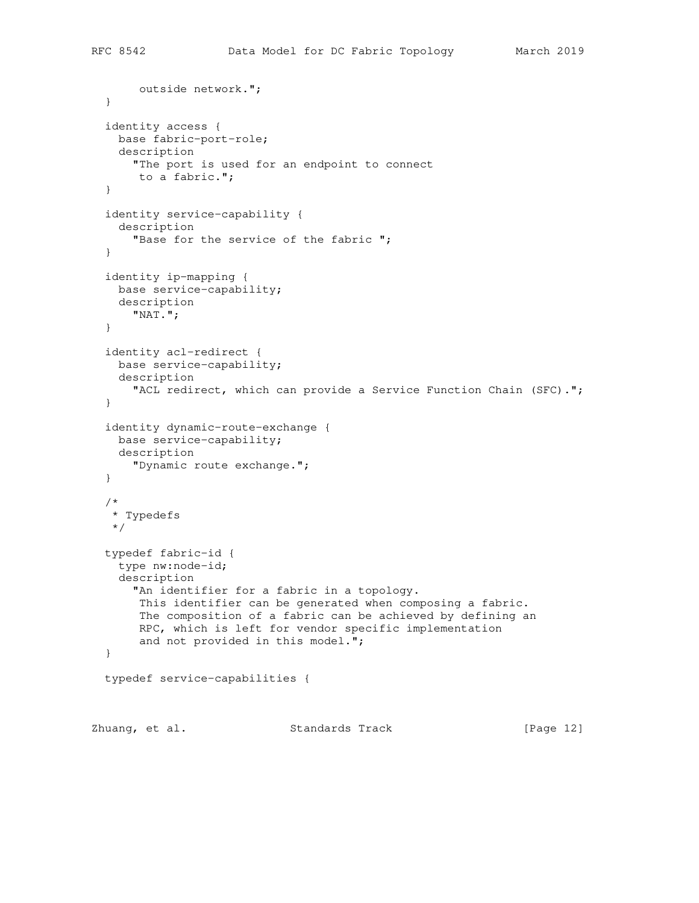```
 outside network.";
   }
   identity access {
    base fabric-port-role;
    description
      "The port is used for an endpoint to connect
       to a fabric.";
   }
   identity service-capability {
    description
     "Base for the service of the fabric ";
   }
   identity ip-mapping {
    base service-capability;
    description
      "NAT.";
   }
   identity acl-redirect {
    base service-capability;
    description
       "ACL redirect, which can provide a Service Function Chain (SFC).";
   }
   identity dynamic-route-exchange {
    base service-capability;
    description
      "Dynamic route exchange.";
   }
   /*
    * Typedefs
   */
   typedef fabric-id {
    type nw:node-id;
    description
      "An identifier for a fabric in a topology.
       This identifier can be generated when composing a fabric.
       The composition of a fabric can be achieved by defining an
       RPC, which is left for vendor specific implementation
       and not provided in this model.";
   }
   typedef service-capabilities {
Zhuang, et al. Standards Track [Page 12]
```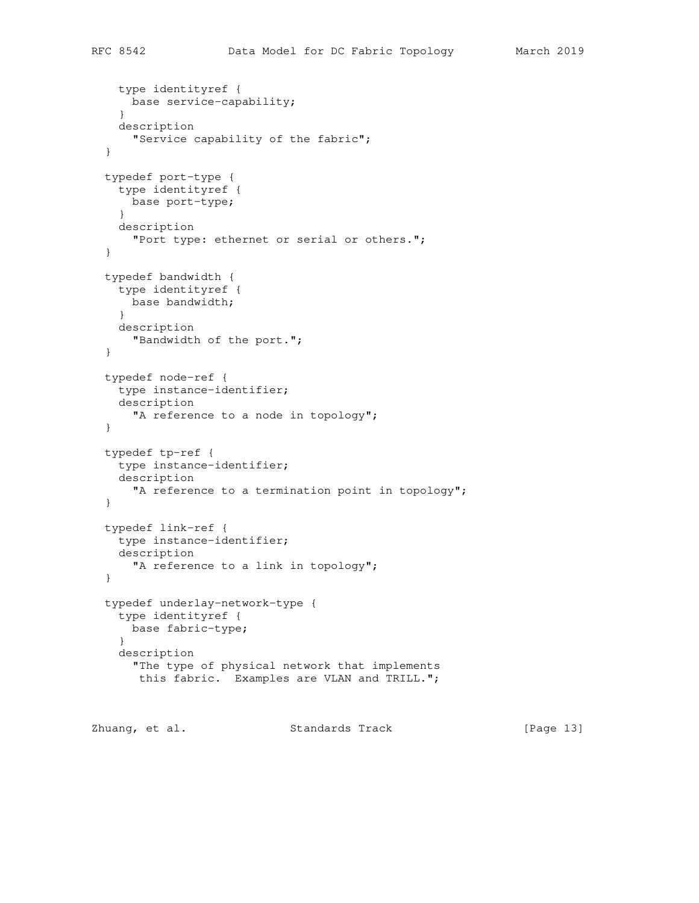```
 type identityref {
    base service-capability;
   }
  description
     "Service capability of the fabric";
 }
 typedef port-type {
  type identityref {
    base port-type;
   }
  description
     "Port type: ethernet or serial or others.";
 }
 typedef bandwidth {
  type identityref {
    base bandwidth;
   }
  description
    "Bandwidth of the port.";
 }
 typedef node-ref {
  type instance-identifier;
   description
    "A reference to a node in topology";
 }
 typedef tp-ref {
  type instance-identifier;
   description
    "A reference to a termination point in topology";
 }
 typedef link-ref {
   type instance-identifier;
  description
   "A reference to a link in topology";
 }
 typedef underlay-network-type {
   type identityref {
    base fabric-type;
   }
   description
     "The type of physical network that implements
     this fabric. Examples are VLAN and TRILL.";
```
Zhuang, et al. Standards Track [Page 13]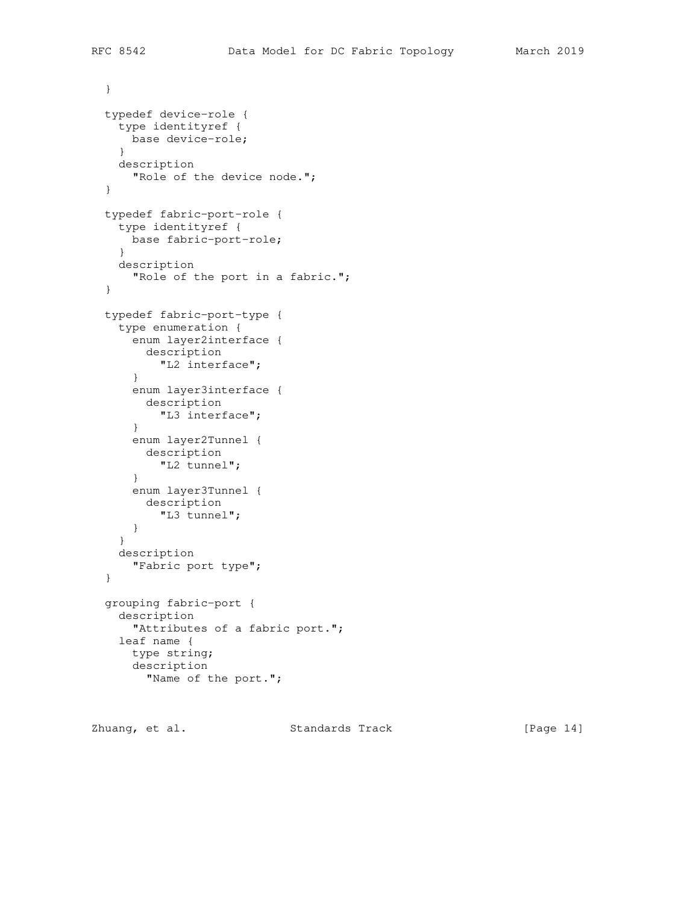```
 }
 typedef device-role {
  type identityref {
   base device-role;
   }
  description
    "Role of the device node.";
 }
 typedef fabric-port-role {
  type identityref {
    base fabric-port-role;
   }
  description
    "Role of the port in a fabric.";
 }
 typedef fabric-port-type {
   type enumeration {
    enum layer2interface {
     description
        "L2 interface";
    }
    enum layer3interface {
      description
        "L3 interface";
     }
     enum layer2Tunnel {
     description
        "L2 tunnel";
    }
     enum layer3Tunnel {
      description
        "L3 tunnel";
     }
   }
  description
    "Fabric port type";
 }
 grouping fabric-port {
   description
     "Attributes of a fabric port.";
   leaf name {
     type string;
     description
       "Name of the port.";
```
Zhuang, et al. Standards Track [Page 14]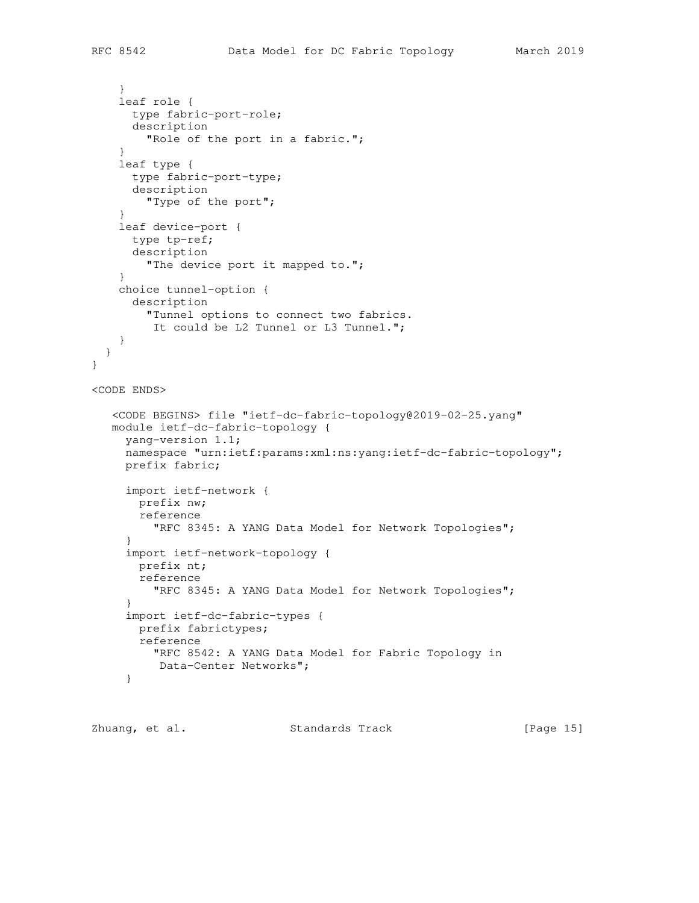```
 }
     leaf role {
       type fabric-port-role;
       description
         "Role of the port in a fabric.";
     }
     leaf type {
       type fabric-port-type;
       description
         "Type of the port";
     }
     leaf device-port {
       type tp-ref;
       description
         "The device port it mapped to.";
     }
     choice tunnel-option {
       description
         "Tunnel options to connect two fabrics.
          It could be L2 Tunnel or L3 Tunnel.";
     }
   }
}
<CODE ENDS>
    <CODE BEGINS> file "ietf-dc-fabric-topology@2019-02-25.yang"
   module ietf-dc-fabric-topology {
      yang-version 1.1;
      namespace "urn:ietf:params:xml:ns:yang:ietf-dc-fabric-topology";
      prefix fabric;
      import ietf-network {
        prefix nw;
        reference
          "RFC 8345: A YANG Data Model for Network Topologies";
      }
      import ietf-network-topology {
        prefix nt;
        reference
          "RFC 8345: A YANG Data Model for Network Topologies";
      }
      import ietf-dc-fabric-types {
       prefix fabrictypes;
        reference
          "RFC 8542: A YANG Data Model for Fabric Topology in
          Data-Center Networks";
      }
```
Zhuang, et al. Standards Track [Page 15]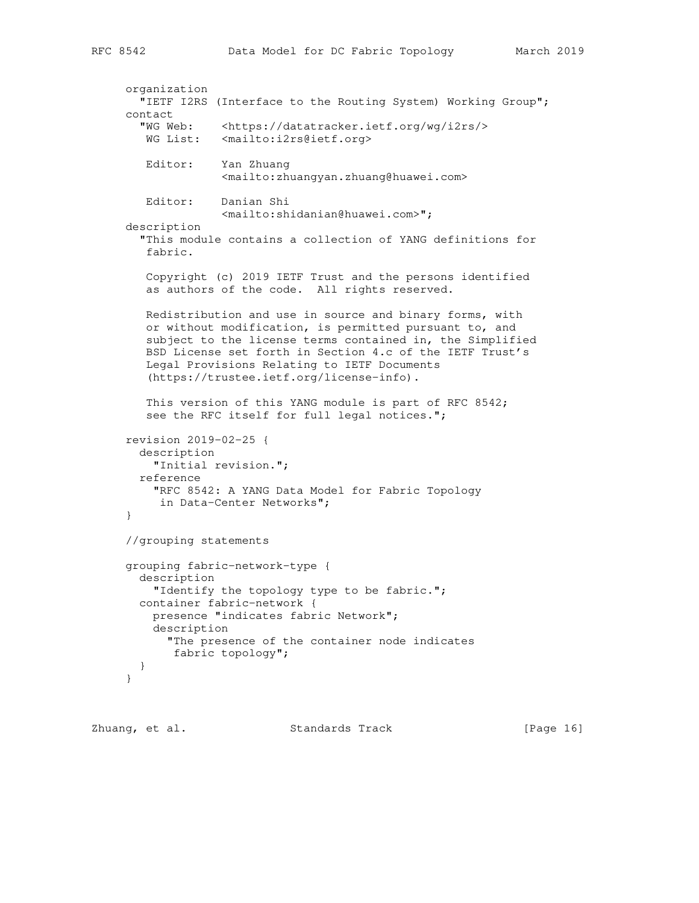```
 organization
   "IETF I2RS (Interface to the Routing System) Working Group";
 contact
   "WG Web: <https://datatracker.ietf.org/wg/i2rs/>
  WG List: <mailto:i2rs@ietf.org>
   Editor: Yan Zhuang
               <mailto:zhuangyan.zhuang@huawei.com>
    Editor: Danian Shi
              <mailto:shidanian@huawei.com>";
 description
   "This module contains a collection of YANG definitions for
    fabric.
   Copyright (c) 2019 IETF Trust and the persons identified
   as authors of the code. All rights reserved.
   Redistribution and use in source and binary forms, with
   or without modification, is permitted pursuant to, and
    subject to the license terms contained in, the Simplified
    BSD License set forth in Section 4.c of the IETF Trust's
    Legal Provisions Relating to IETF Documents
    (https://trustee.ietf.org/license-info).
    This version of this YANG module is part of RFC 8542;
   see the RFC itself for full legal notices.";
 revision 2019-02-25 {
  description
     "Initial revision.";
  reference
     "RFC 8542: A YANG Data Model for Fabric Topology
     in Data-Center Networks";
 }
 //grouping statements
 grouping fabric-network-type {
  description
     "Identify the topology type to be fabric.";
  container fabric-network {
    presence "indicates fabric Network";
     description
       "The presence of the container node indicates
       fabric topology";
   }
 }
```
Zhuang, et al. Standards Track [Page 16]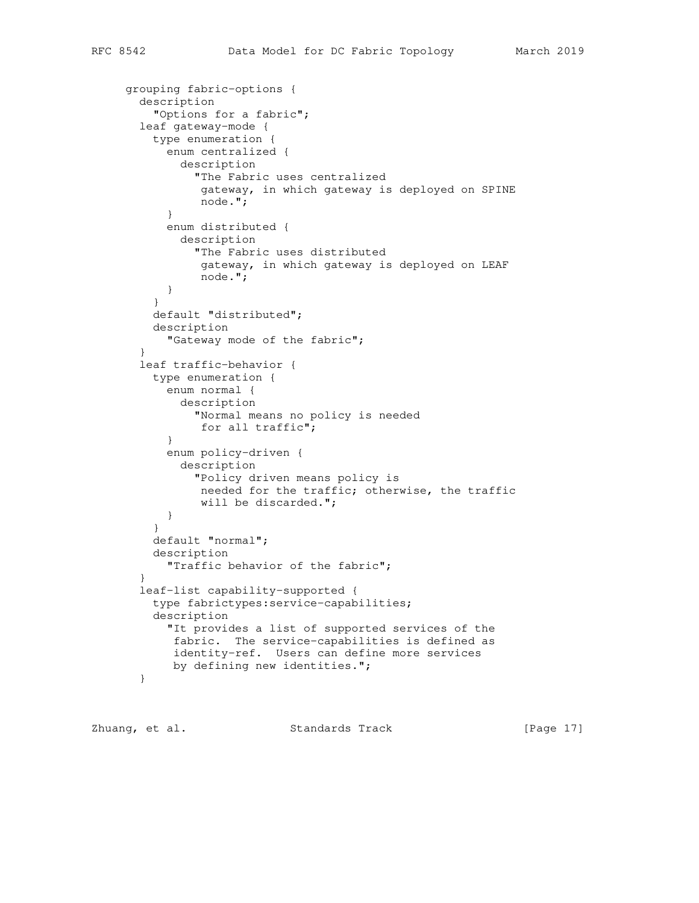```
 grouping fabric-options {
       description
          "Options for a fabric";
       leaf gateway-mode {
         type enumeration {
           enum centralized {
             description
                "The Fabric uses centralized
                gateway, in which gateway is deployed on SPINE
                node.";
 }
           enum distributed {
             description
               "The Fabric uses distributed
                gateway, in which gateway is deployed on LEAF
                node.";
           }
 }
         default "distributed";
         description
           "Gateway mode of the fabric";
       }
       leaf traffic-behavior {
         type enumeration {
           enum normal {
             description
                "Normal means no policy is needed
                for all traffic";
 }
           enum policy-driven {
             description
                "Policy driven means policy is
                needed for the traffic; otherwise, the traffic
                will be discarded.";
           }
 }
         default "normal";
         description
           "Traffic behavior of the fabric";
 }
       leaf-list capability-supported {
         type fabrictypes:service-capabilities;
         description
           "It provides a list of supported services of the
            fabric. The service-capabilities is defined as
            identity-ref. Users can define more services
            by defining new identities.";
       }
```
Zhuang, et al. Standards Track [Page 17]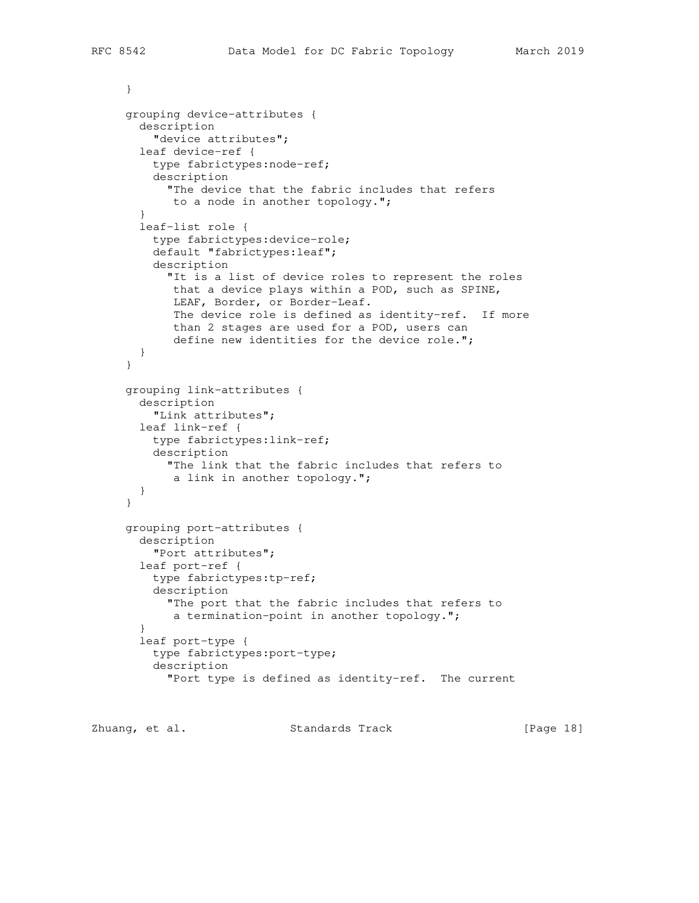```
 }
      grouping device-attributes {
        description
          "device attributes";
        leaf device-ref {
         type fabrictypes:node-ref;
          description
            "The device that the fabric includes that refers
            to a node in another topology.";
 }
        leaf-list role {
         type fabrictypes:device-role;
          default "fabrictypes:leaf";
          description
            "It is a list of device roles to represent the roles
             that a device plays within a POD, such as SPINE,
             LEAF, Border, or Border-Leaf.
             The device role is defined as identity-ref. If more
             than 2 stages are used for a POD, users can
            define new identities for the device role.";
        }
      }
      grouping link-attributes {
        description
          "Link attributes";
        leaf link-ref {
         type fabrictypes:link-ref;
          description
            "The link that the fabric includes that refers to
            a link in another topology.";
        }
      }
     grouping port-attributes {
        description
         "Port attributes";
        leaf port-ref {
         type fabrictypes:tp-ref;
          description
            "The port that the fabric includes that refers to
            a termination-point in another topology.";
 }
        leaf port-type {
          type fabrictypes:port-type;
          description
            "Port type is defined as identity-ref. The current
```
Zhuang, et al. Standards Track [Page 18]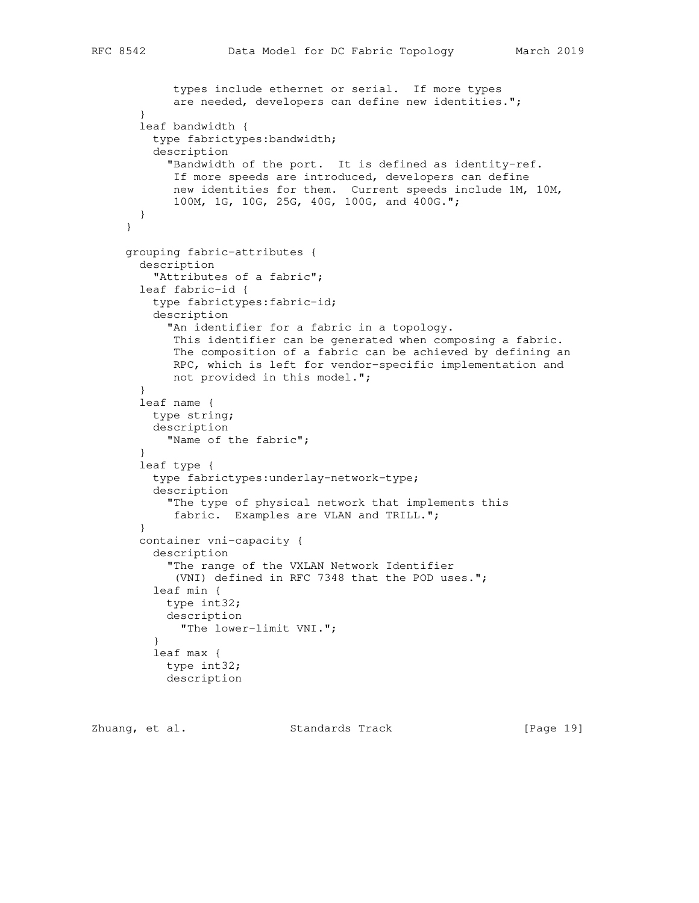```
 types include ethernet or serial. If more types
             are needed, developers can define new identities.";
        }
        leaf bandwidth {
         type fabrictypes:bandwidth;
          description
            "Bandwidth of the port. It is defined as identity-ref.
            If more speeds are introduced, developers can define
             new identities for them. Current speeds include 1M, 10M,
             100M, 1G, 10G, 25G, 40G, 100G, and 400G.";
       }
      }
      grouping fabric-attributes {
       description
          "Attributes of a fabric";
       leaf fabric-id {
         type fabrictypes:fabric-id;
          description
            "An identifier for a fabric in a topology.
            This identifier can be generated when composing a fabric.
             The composition of a fabric can be achieved by defining an
             RPC, which is left for vendor-specific implementation and
             not provided in this model.";
        }
        leaf name {
         type string;
         description
            "Name of the fabric";
 }
        leaf type {
          type fabrictypes:underlay-network-type;
          description
            "The type of physical network that implements this
            fabric. Examples are VLAN and TRILL.";
        }
        container vni-capacity {
          description
            "The range of the VXLAN Network Identifier
             (VNI) defined in RFC 7348 that the POD uses.";
          leaf min {
           type int32;
            description
             "The lower-limit VNI.";
 }
          leaf max {
            type int32;
            description
```
Zhuang, et al. Standards Track [Page 19]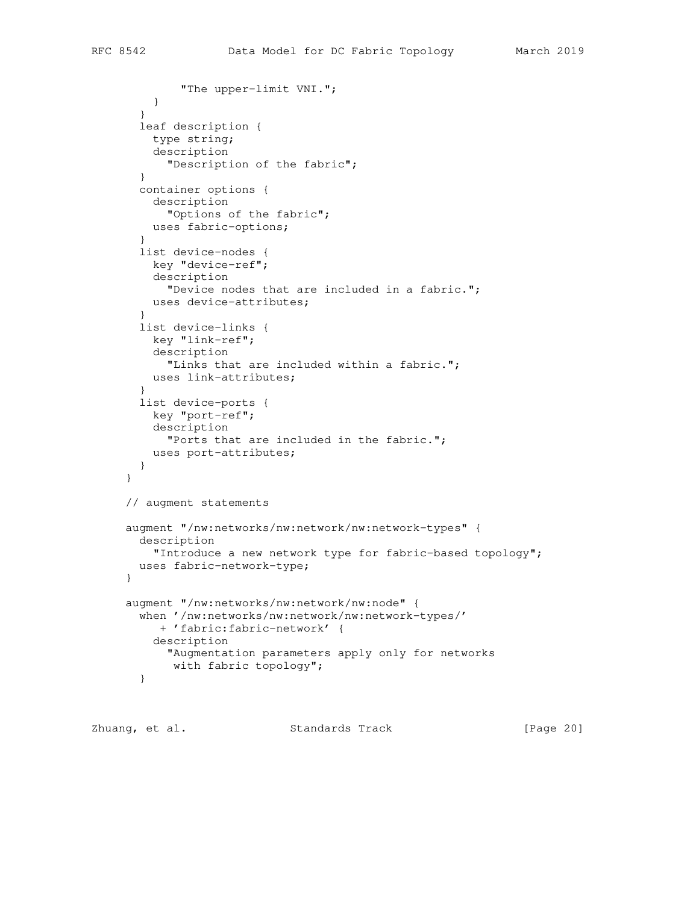```
 "The upper-limit VNI.";
 }
        }
        leaf description {
         type string;
         description
           "Description of the fabric";
        }
        container options {
         description
            "Options of the fabric";
         uses fabric-options;
        }
        list device-nodes {
         key "device-ref";
         description
            "Device nodes that are included in a fabric.";
         uses device-attributes;
        }
        list device-links {
         key "link-ref";
         description
            "Links that are included within a fabric.";
         uses link-attributes;
        }
        list device-ports {
         key "port-ref";
          description
            "Ports that are included in the fabric.";
          uses port-attributes;
        }
      }
      // augment statements
     augment "/nw:networks/nw:network/nw:network-types" {
       description
         "Introduce a new network type for fabric-based topology";
       uses fabric-network-type;
      }
      augment "/nw:networks/nw:network/nw:node" {
       when '/nw:networks/nw:network/nw:network-types/'
          + 'fabric:fabric-network' {
          description
            "Augmentation parameters apply only for networks
            with fabric topology";
        }
```
Zhuang, et al. Standards Track [Page 20]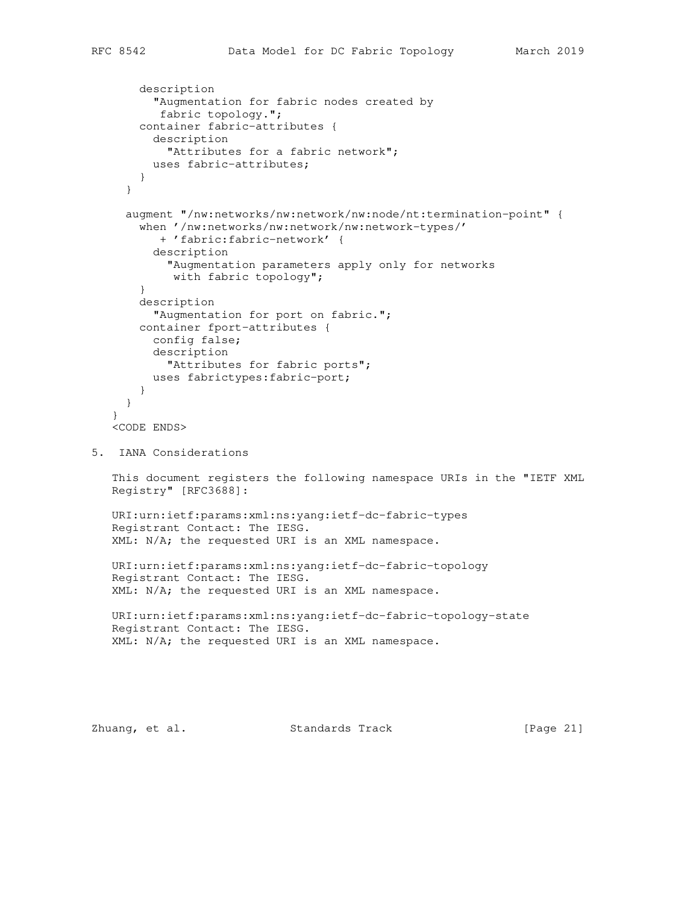```
 description
          "Augmentation for fabric nodes created by
           fabric topology.";
        container fabric-attributes {
          description
            "Attributes for a fabric network";
          uses fabric-attributes;
        }
      }
      augment "/nw:networks/nw:network/nw:node/nt:termination-point" {
        when '/nw:networks/nw:network/nw:network-types/'
           + 'fabric:fabric-network' {
          description
            "Augmentation parameters apply only for networks
             with fabric topology";
        }
        description
          "Augmentation for port on fabric.";
        container fport-attributes {
          config false;
          description
            "Attributes for fabric ports";
          uses fabrictypes:fabric-port;
        }
      }
    }
    <CODE ENDS>
5. IANA Considerations
    This document registers the following namespace URIs in the "IETF XML
    Registry" [RFC3688]:
    URI:urn:ietf:params:xml:ns:yang:ietf-dc-fabric-types
    Registrant Contact: The IESG.
    XML: N/A; the requested URI is an XML namespace.
    URI:urn:ietf:params:xml:ns:yang:ietf-dc-fabric-topology
    Registrant Contact: The IESG.
    XML: N/A; the requested URI is an XML namespace.
    URI:urn:ietf:params:xml:ns:yang:ietf-dc-fabric-topology-state
    Registrant Contact: The IESG.
    XML: N/A; the requested URI is an XML namespace.
```
Zhuang, et al. Standards Track [Page 21]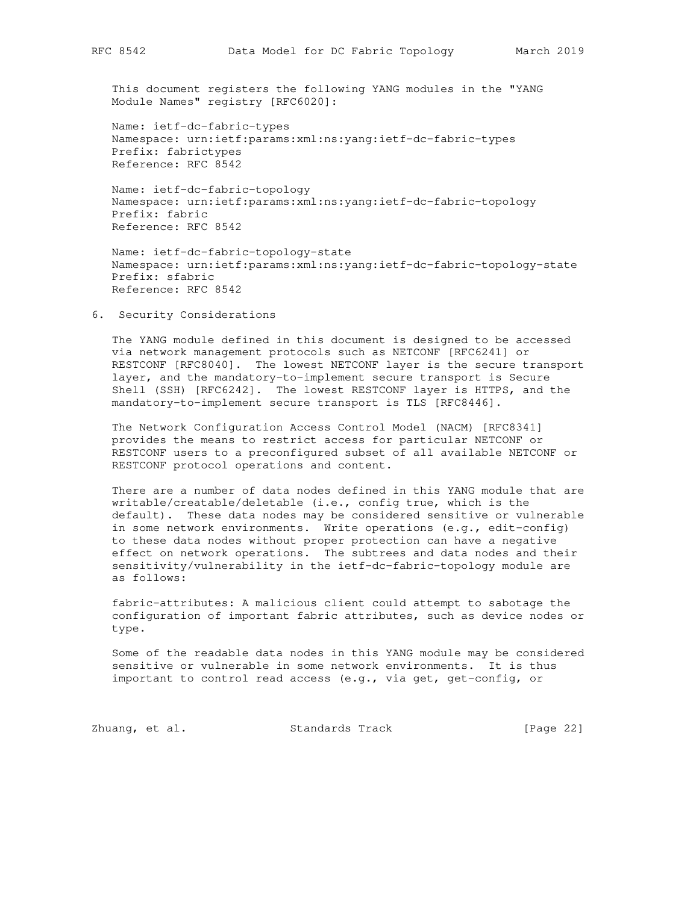This document registers the following YANG modules in the "YANG Module Names" registry [RFC6020]:

 Name: ietf-dc-fabric-types Namespace: urn:ietf:params:xml:ns:yang:ietf-dc-fabric-types Prefix: fabrictypes Reference: RFC 8542

 Name: ietf-dc-fabric-topology Namespace: urn:ietf:params:xml:ns:yang:ietf-dc-fabric-topology Prefix: fabric Reference: RFC 8542

 Name: ietf-dc-fabric-topology-state Namespace: urn:ietf:params:xml:ns:yang:ietf-dc-fabric-topology-state Prefix: sfabric Reference: RFC 8542

6. Security Considerations

 The YANG module defined in this document is designed to be accessed via network management protocols such as NETCONF [RFC6241] or RESTCONF [RFC8040]. The lowest NETCONF layer is the secure transport layer, and the mandatory-to-implement secure transport is Secure Shell (SSH) [RFC6242]. The lowest RESTCONF layer is HTTPS, and the mandatory-to-implement secure transport is TLS [RFC8446].

 The Network Configuration Access Control Model (NACM) [RFC8341] provides the means to restrict access for particular NETCONF or RESTCONF users to a preconfigured subset of all available NETCONF or RESTCONF protocol operations and content.

 There are a number of data nodes defined in this YANG module that are writable/creatable/deletable (i.e., config true, which is the default). These data nodes may be considered sensitive or vulnerable in some network environments. Write operations (e.g., edit-config) to these data nodes without proper protection can have a negative effect on network operations. The subtrees and data nodes and their sensitivity/vulnerability in the ietf-dc-fabric-topology module are as follows:

 fabric-attributes: A malicious client could attempt to sabotage the configuration of important fabric attributes, such as device nodes or type.

 Some of the readable data nodes in this YANG module may be considered sensitive or vulnerable in some network environments. It is thus important to control read access (e.g., via get, get-config, or

Zhuang, et al. Standards Track [Page 22]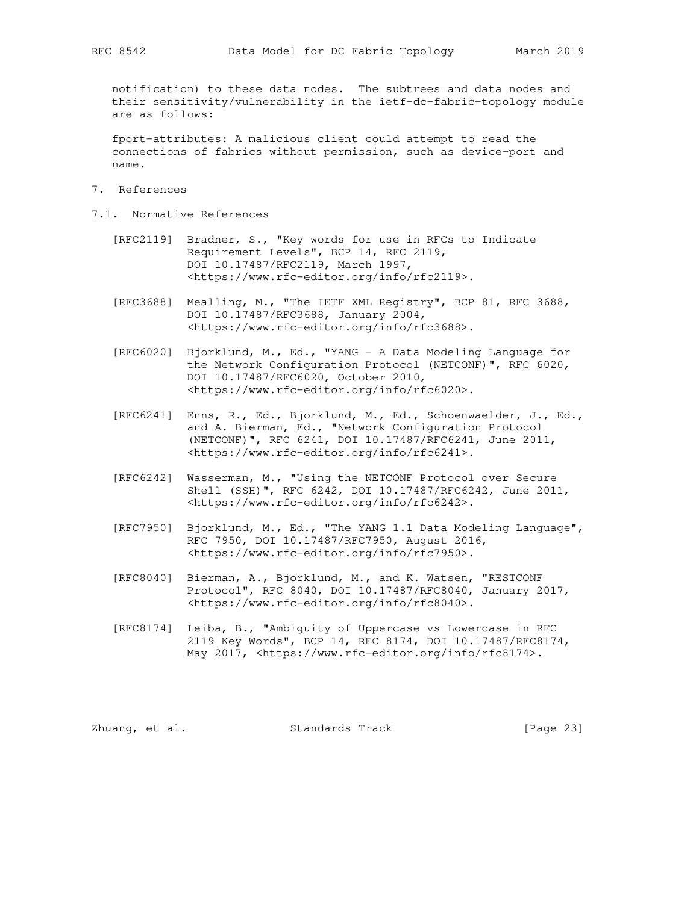notification) to these data nodes. The subtrees and data nodes and their sensitivity/vulnerability in the ietf-dc-fabric-topology module are as follows:

 fport-attributes: A malicious client could attempt to read the connections of fabrics without permission, such as device-port and name.

- 7. References
- 7.1. Normative References
	- [RFC2119] Bradner, S., "Key words for use in RFCs to Indicate Requirement Levels", BCP 14, RFC 2119, DOI 10.17487/RFC2119, March 1997, <https://www.rfc-editor.org/info/rfc2119>.
	- [RFC3688] Mealling, M., "The IETF XML Registry", BCP 81, RFC 3688, DOI 10.17487/RFC3688, January 2004, <https://www.rfc-editor.org/info/rfc3688>.
	- [RFC6020] Bjorklund, M., Ed., "YANG A Data Modeling Language for the Network Configuration Protocol (NETCONF)", RFC 6020, DOI 10.17487/RFC6020, October 2010, <https://www.rfc-editor.org/info/rfc6020>.
- [RFC6241] Enns, R., Ed., Bjorklund, M., Ed., Schoenwaelder, J., Ed., and A. Bierman, Ed., "Network Configuration Protocol (NETCONF)", RFC 6241, DOI 10.17487/RFC6241, June 2011, <https://www.rfc-editor.org/info/rfc6241>.
	- [RFC6242] Wasserman, M., "Using the NETCONF Protocol over Secure Shell (SSH)", RFC 6242, DOI 10.17487/RFC6242, June 2011, <https://www.rfc-editor.org/info/rfc6242>.
	- [RFC7950] Bjorklund, M., Ed., "The YANG 1.1 Data Modeling Language", RFC 7950, DOI 10.17487/RFC7950, August 2016, <https://www.rfc-editor.org/info/rfc7950>.
	- [RFC8040] Bierman, A., Bjorklund, M., and K. Watsen, "RESTCONF Protocol", RFC 8040, DOI 10.17487/RFC8040, January 2017, <https://www.rfc-editor.org/info/rfc8040>.
	- [RFC8174] Leiba, B., "Ambiguity of Uppercase vs Lowercase in RFC 2119 Key Words", BCP 14, RFC 8174, DOI 10.17487/RFC8174, May 2017, <https://www.rfc-editor.org/info/rfc8174>.

Zhuang, et al. Standards Track [Page 23]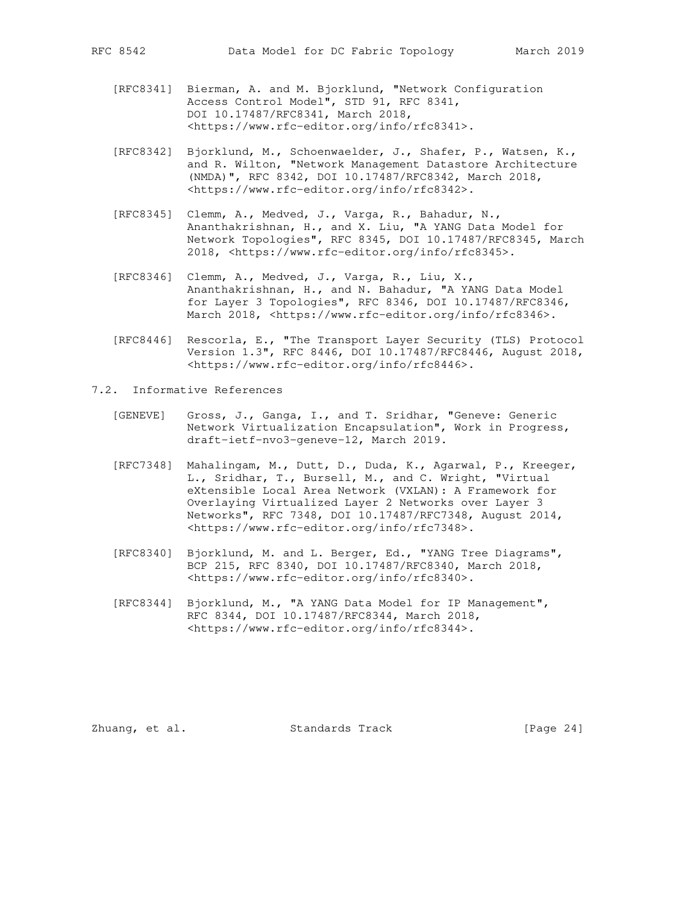- [RFC8341] Bierman, A. and M. Bjorklund, "Network Configuration Access Control Model", STD 91, RFC 8341, DOI 10.17487/RFC8341, March 2018, <https://www.rfc-editor.org/info/rfc8341>.
	- [RFC8342] Bjorklund, M., Schoenwaelder, J., Shafer, P., Watsen, K., and R. Wilton, "Network Management Datastore Architecture (NMDA)", RFC 8342, DOI 10.17487/RFC8342, March 2018, <https://www.rfc-editor.org/info/rfc8342>.
	- [RFC8345] Clemm, A., Medved, J., Varga, R., Bahadur, N., Ananthakrishnan, H., and X. Liu, "A YANG Data Model for Network Topologies", RFC 8345, DOI 10.17487/RFC8345, March 2018, <https://www.rfc-editor.org/info/rfc8345>.
	- [RFC8346] Clemm, A., Medved, J., Varga, R., Liu, X., Ananthakrishnan, H., and N. Bahadur, "A YANG Data Model for Layer 3 Topologies", RFC 8346, DOI 10.17487/RFC8346, March 2018, <https://www.rfc-editor.org/info/rfc8346>.
	- [RFC8446] Rescorla, E., "The Transport Layer Security (TLS) Protocol Version 1.3", RFC 8446, DOI 10.17487/RFC8446, August 2018, <https://www.rfc-editor.org/info/rfc8446>.
- 7.2. Informative References
- [GENEVE] Gross, J., Ganga, I., and T. Sridhar, "Geneve: Generic Network Virtualization Encapsulation", Work in Progress, draft-ietf-nvo3-geneve-12, March 2019.
	- [RFC7348] Mahalingam, M., Dutt, D., Duda, K., Agarwal, P., Kreeger, L., Sridhar, T., Bursell, M., and C. Wright, "Virtual eXtensible Local Area Network (VXLAN): A Framework for Overlaying Virtualized Layer 2 Networks over Layer 3 Networks", RFC 7348, DOI 10.17487/RFC7348, August 2014, <https://www.rfc-editor.org/info/rfc7348>.
	- [RFC8340] Bjorklund, M. and L. Berger, Ed., "YANG Tree Diagrams", BCP 215, RFC 8340, DOI 10.17487/RFC8340, March 2018, <https://www.rfc-editor.org/info/rfc8340>.
	- [RFC8344] Bjorklund, M., "A YANG Data Model for IP Management", RFC 8344, DOI 10.17487/RFC8344, March 2018, <https://www.rfc-editor.org/info/rfc8344>.

Zhuang, et al. Standards Track [Page 24]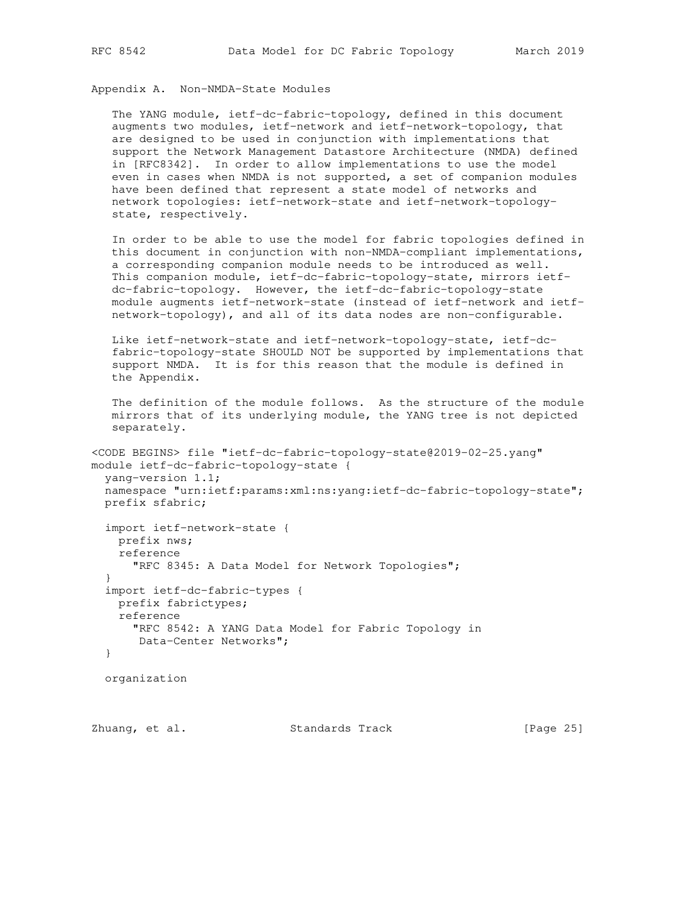Appendix A. Non-NMDA-State Modules

 The YANG module, ietf-dc-fabric-topology, defined in this document augments two modules, ietf-network and ietf-network-topology, that are designed to be used in conjunction with implementations that support the Network Management Datastore Architecture (NMDA) defined in [RFC8342]. In order to allow implementations to use the model even in cases when NMDA is not supported, a set of companion modules have been defined that represent a state model of networks and network topologies: ietf-network-state and ietf-network-topology state, respectively.

 In order to be able to use the model for fabric topologies defined in this document in conjunction with non-NMDA-compliant implementations, a corresponding companion module needs to be introduced as well. This companion module, ietf-dc-fabric-topology-state, mirrors ietf dc-fabric-topology. However, the ietf-dc-fabric-topology-state module augments ietf-network-state (instead of ietf-network and ietf network-topology), and all of its data nodes are non-configurable.

 Like ietf-network-state and ietf-network-topology-state, ietf-dc fabric-topology-state SHOULD NOT be supported by implementations that support NMDA. It is for this reason that the module is defined in the Appendix.

```
 The definition of the module follows. As the structure of the module
 mirrors that of its underlying module, the YANG tree is not depicted
   separately.
```

```
<CODE BEGINS> file "ietf-dc-fabric-topology-state@2019-02-25.yang"
module ietf-dc-fabric-topology-state {
   yang-version 1.1;
   namespace "urn:ietf:params:xml:ns:yang:ietf-dc-fabric-topology-state";
  prefix sfabric;
```

```
 import ietf-network-state {
  prefix nws;
  reference
    "RFC 8345: A Data Model for Network Topologies";
 }
 import ietf-dc-fabric-types {
  prefix fabrictypes;
  reference
    "RFC 8542: A YANG Data Model for Fabric Topology in
     Data-Center Networks";
 }
```
organization

Zhuang, et al. Standards Track [Page 25]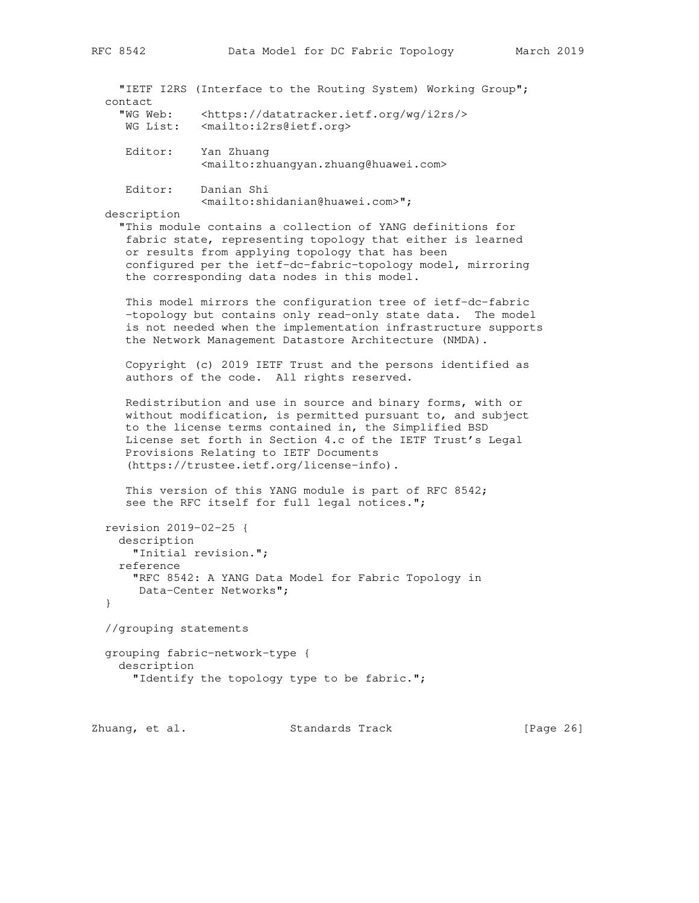| C 8542 |  | Data Mod |  |
|--------|--|----------|--|
|        |  |          |  |
|        |  |          |  |

|                                                        | "IETF I2RS (Interface to the Routing System) Working Group";                                                                                                                                                                                                                                                                          |
|--------------------------------------------------------|---------------------------------------------------------------------------------------------------------------------------------------------------------------------------------------------------------------------------------------------------------------------------------------------------------------------------------------|
| contact<br>"WG Web:<br>WG List:                        | <https: datatracker.ietf.org="" i2rs="" wg=""></https:><br><mailto:i2rs@ietf.org></mailto:i2rs@ietf.org>                                                                                                                                                                                                                              |
| Editor:                                                | Yan Zhuang<br><mailto:zhuangyan.zhuang@huawei.com></mailto:zhuangyan.zhuang@huawei.com>                                                                                                                                                                                                                                               |
| Editor:<br>description                                 | Danian Shi<br><mailto:shidanian@huawei.com>";<br/>"This module contains a collection of YANG definitions for<br/>fabric state, representing topology that either is learned</mailto:shidanian@huawei.com>                                                                                                                             |
|                                                        | or results from applying topology that has been<br>configured per the ietf-dc-fabric-topology model, mirroring<br>the corresponding data nodes in this model.                                                                                                                                                                         |
|                                                        | This model mirrors the configuration tree of ietf-dc-fabric<br>-topology but contains only read-only state data. The model<br>is not needed when the implementation infrastructure supports<br>the Network Management Datastore Architecture (NMDA).                                                                                  |
|                                                        | Copyright (c) 2019 IETF Trust and the persons identified as<br>authors of the code. All rights reserved.                                                                                                                                                                                                                              |
|                                                        | Redistribution and use in source and binary forms, with or<br>without modification, is permitted pursuant to, and subject<br>to the license terms contained in, the Simplified BSD<br>License set forth in Section 4.c of the IETF Trust's Legal<br>Provisions Relating to IETF Documents<br>(https://trustee.ietf.org/license-info). |
|                                                        | This version of this YANG module is part of RFC 8542;<br>see the RFC itself for full legal notices.";                                                                                                                                                                                                                                 |
| revision 2019-02-25 {<br>description<br>reference<br>} | "Initial revision.";<br>"RFC 8542: A YANG Data Model for Fabric Topology in<br>Data-Center Networks";                                                                                                                                                                                                                                 |
| //grouping statements                                  |                                                                                                                                                                                                                                                                                                                                       |
| description                                            | grouping fabric-network-type {<br>"Identify the topology type to be fabric.";                                                                                                                                                                                                                                                         |

Zhuang, et al. Standards Track [Page 26]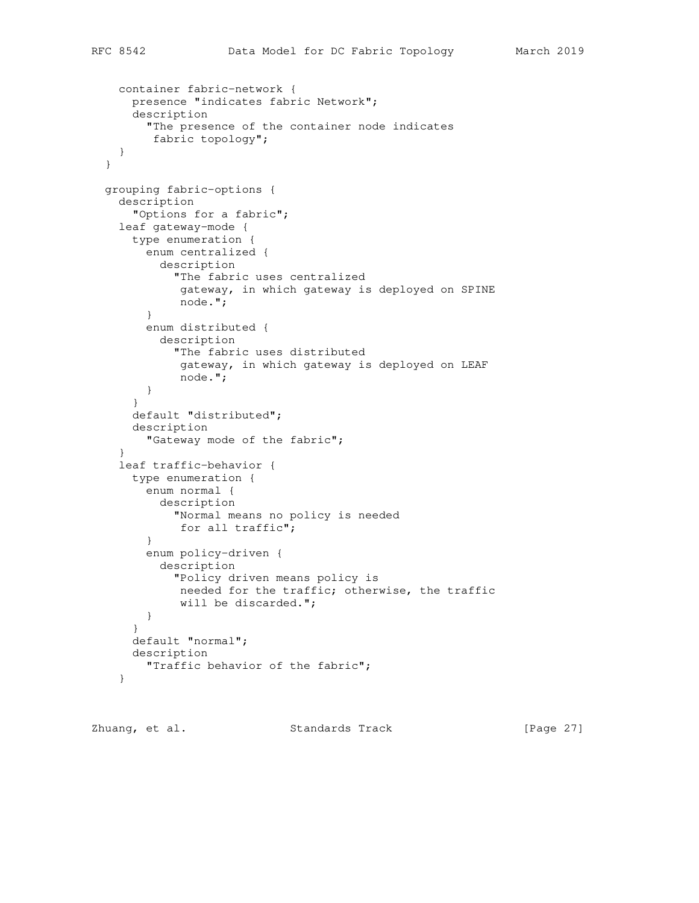```
 container fabric-network {
      presence "indicates fabric Network";
       description
         "The presence of the container node indicates
          fabric topology";
     }
  }
  grouping fabric-options {
    description
       "Options for a fabric";
    leaf gateway-mode {
      type enumeration {
         enum centralized {
           description
             "The fabric uses centralized
              gateway, in which gateway is deployed on SPINE
              node.";
 }
         enum distributed {
           description
             "The fabric uses distributed
              gateway, in which gateway is deployed on LEAF
              node.";
         }
       }
       default "distributed";
       description
         "Gateway mode of the fabric";
     }
     leaf traffic-behavior {
      type enumeration {
        enum normal {
           description
             "Normal means no policy is needed
             for all traffic";
         }
         enum policy-driven {
           description
             "Policy driven means policy is
             needed for the traffic; otherwise, the traffic
            will be discarded.";
         }
       }
      default "normal";
      description
         "Traffic behavior of the fabric";
     }
```
Zhuang, et al. Standards Track [Page 27]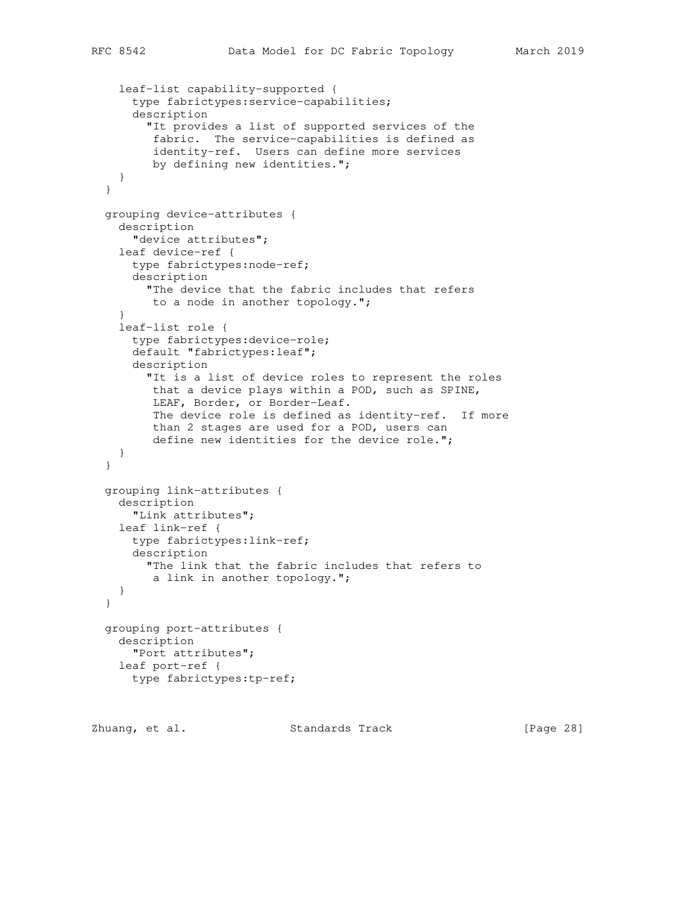```
 leaf-list capability-supported {
     type fabrictypes:service-capabilities;
     description
       "It provides a list of supported services of the
        fabric. The service-capabilities is defined as
        identity-ref. Users can define more services
        by defining new identities.";
   }
 }
 grouping device-attributes {
  description
     "device attributes";
  leaf device-ref {
    type fabrictypes:node-ref;
    description
       "The device that the fabric includes that refers
       to a node in another topology.";
   }
   leaf-list role {
     type fabrictypes:device-role;
     default "fabrictypes:leaf";
    description
       "It is a list of device roles to represent the roles
        that a device plays within a POD, such as SPINE,
        LEAF, Border, or Border-Leaf.
        The device role is defined as identity-ref. If more
        than 2 stages are used for a POD, users can
        define new identities for the device role.";
   }
 }
 grouping link-attributes {
  description
    "Link attributes";
  leaf link-ref {
    type fabrictypes:link-ref;
     description
      "The link that the fabric includes that refers to
       a link in another topology.";
  }
 }
 grouping port-attributes {
  description
    "Port attributes";
  leaf port-ref {
     type fabrictypes:tp-ref;
```
Zhuang, et al. Standards Track [Page 28]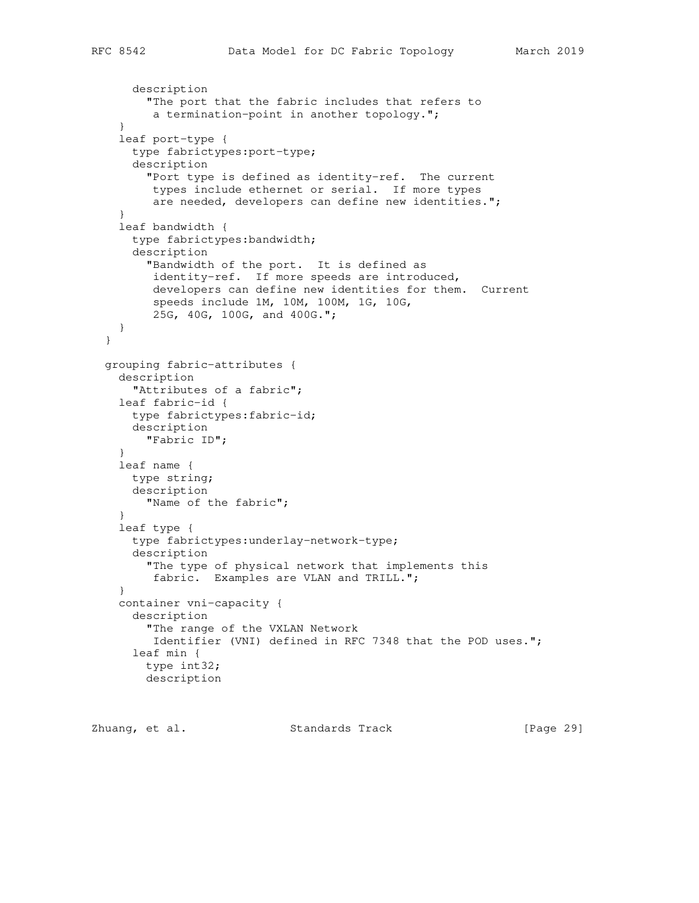```
 description
       "The port that the fabric includes that refers to
        a termination-point in another topology.";
   }
   leaf port-type {
     type fabrictypes:port-type;
     description
       "Port type is defined as identity-ref. The current
       types include ethernet or serial. If more types
        are needed, developers can define new identities.";
   }
   leaf bandwidth {
     type fabrictypes:bandwidth;
     description
       "Bandwidth of the port. It is defined as
        identity-ref. If more speeds are introduced,
        developers can define new identities for them. Current
        speeds include 1M, 10M, 100M, 1G, 10G,
        25G, 40G, 100G, and 400G.";
   }
 }
 grouping fabric-attributes {
   description
     "Attributes of a fabric";
   leaf fabric-id {
    type fabrictypes:fabric-id;
    description
      "Fabric ID";
   }
   leaf name {
    type string;
    description
      "Name of the fabric";
   }
   leaf type {
     type fabrictypes:underlay-network-type;
     description
       "The type of physical network that implements this
        fabric. Examples are VLAN and TRILL.";
   }
   container vni-capacity {
     description
       "The range of the VXLAN Network
        Identifier (VNI) defined in RFC 7348 that the POD uses.";
     leaf min {
       type int32;
       description
```
Zhuang, et al. Standards Track [Page 29]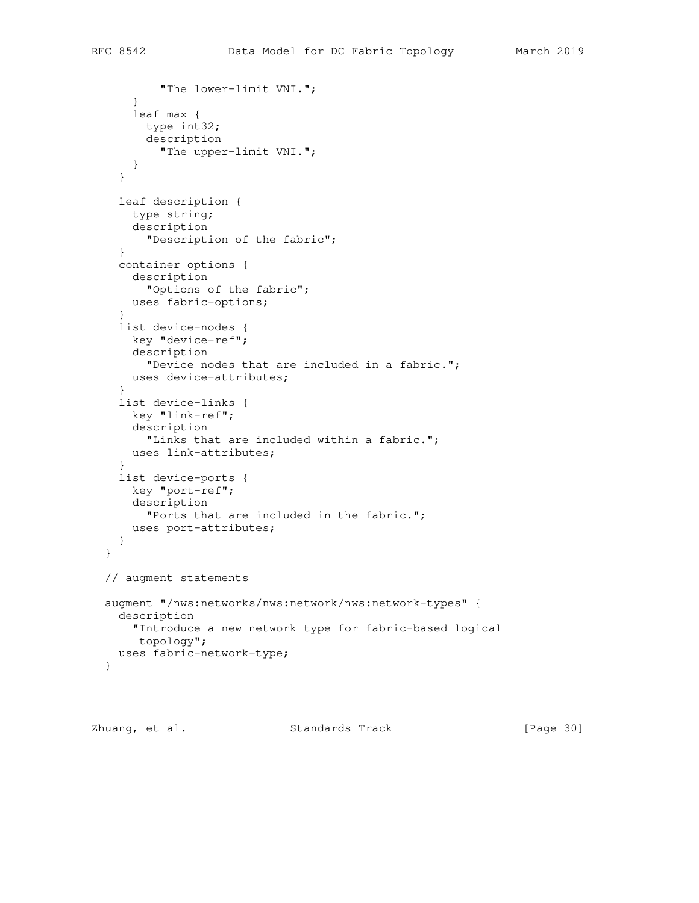```
 "The lower-limit VNI.";
     }
     leaf max {
      type int32;
       description
         "The upper-limit VNI.";
     }
   }
   leaf description {
    type string;
    description
      "Description of the fabric";
   }
   container options {
    description
       "Options of the fabric";
    uses fabric-options;
   }
   list device-nodes {
    key "device-ref";
    description
      "Device nodes that are included in a fabric.";
    uses device-attributes;
   }
   list device-links {
    key "link-ref";
    description
       "Links that are included within a fabric.";
     uses link-attributes;
   }
   list device-ports {
    key "port-ref";
    description
      "Ports that are included in the fabric.";
    uses port-attributes;
   }
 }
 // augment statements
 augment "/nws:networks/nws:network/nws:network-types" {
  description
    "Introduce a new network type for fabric-based logical
     topology";
  uses fabric-network-type;
 }
```
Zhuang, et al. Standards Track [Page 30]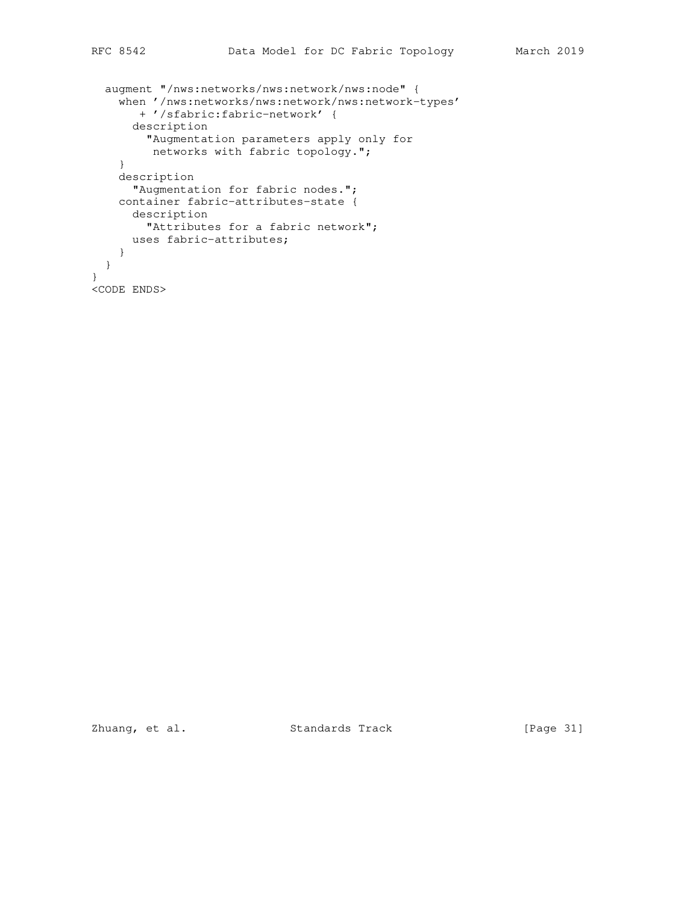```
 augment "/nws:networks/nws:network/nws:node" {
     when '/nws:networks/nws:network/nws:network-types'
       + '/sfabric:fabric-network' {
      description
        "Augmentation parameters apply only for
         networks with fabric topology.";
     }
     description
      "Augmentation for fabric nodes.";
    container fabric-attributes-state {
      description
        "Attributes for a fabric network";
      uses fabric-attributes;
    }
   }
}
<CODE ENDS>
```
Zhuang, et al. Standards Track [Page 31]